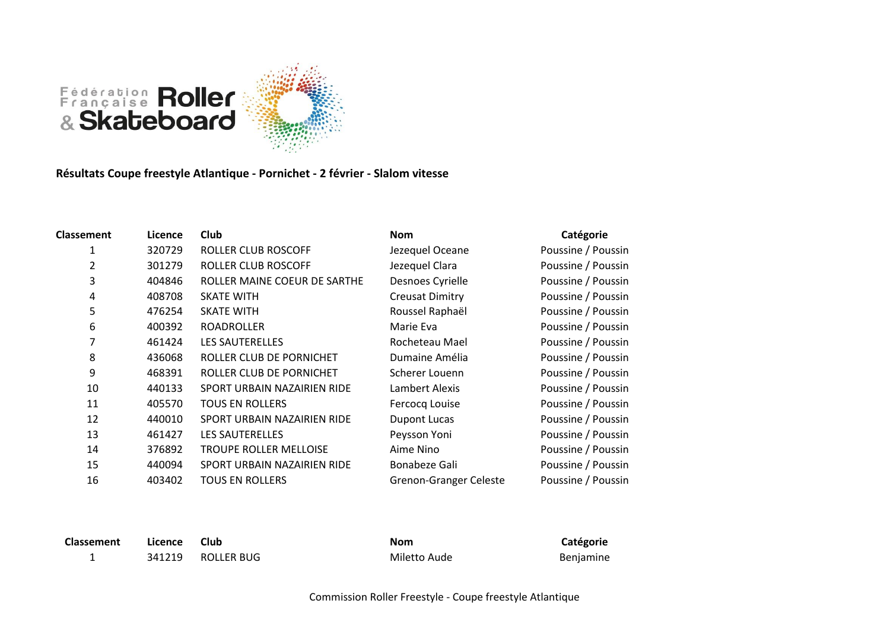

**Résultats Coupe freestyle Atlantique - Pornichet - 2 février - Slalom vitesse**

| Classement     | Licence | <b>Club</b>                   | <b>Nom</b>             | Catégorie          |
|----------------|---------|-------------------------------|------------------------|--------------------|
| 1              | 320729  | ROLLER CLUB ROSCOFF           | Jezequel Oceane        | Poussine / Poussin |
| $\overline{2}$ | 301279  | ROLLER CLUB ROSCOFF           | Jezequel Clara         | Poussine / Poussin |
| 3              | 404846  | ROLLER MAINE COEUR DE SARTHE  | Desnoes Cyrielle       | Poussine / Poussin |
| 4              | 408708  | <b>SKATE WITH</b>             | <b>Creusat Dimitry</b> | Poussine / Poussin |
| 5              | 476254  | <b>SKATE WITH</b>             | Roussel Raphaël        | Poussine / Poussin |
| 6              | 400392  | <b>ROADROLLER</b>             | Marie Eva              | Poussine / Poussin |
| 7              | 461424  | <b>LES SAUTERELLES</b>        | Rocheteau Mael         | Poussine / Poussin |
| 8              | 436068  | ROLLER CLUB DE PORNICHET      | Dumaine Amélia         | Poussine / Poussin |
| 9              | 468391  | ROLLER CLUB DE PORNICHET      | Scherer Louenn         | Poussine / Poussin |
| 10             | 440133  | SPORT URBAIN NAZAIRIEN RIDE   | Lambert Alexis         | Poussine / Poussin |
| 11             | 405570  | <b>TOUS EN ROLLERS</b>        | Fercocq Louise         | Poussine / Poussin |
| 12             | 440010  | SPORT URBAIN NAZAIRIEN RIDE   | <b>Dupont Lucas</b>    | Poussine / Poussin |
| 13             | 461427  | LES SAUTERELLES               | Peysson Yoni           | Poussine / Poussin |
| 14             | 376892  | <b>TROUPE ROLLER MELLOISE</b> | Aime Nino              | Poussine / Poussin |
| 15             | 440094  | SPORT URBAIN NAZAIRIEN RIDE   | Bonabeze Gali          | Poussine / Poussin |
| 16             | 403402  | <b>TOUS EN ROLLERS</b>        | Grenon-Granger Celeste | Poussine / Poussin |

| <b>Classement</b> | Licence | <b>Club</b> | <b>Nom</b>   | Catégorie |
|-------------------|---------|-------------|--------------|-----------|
|                   | 341219  | ROLLER BUG  | Miletto Aude | Benjamine |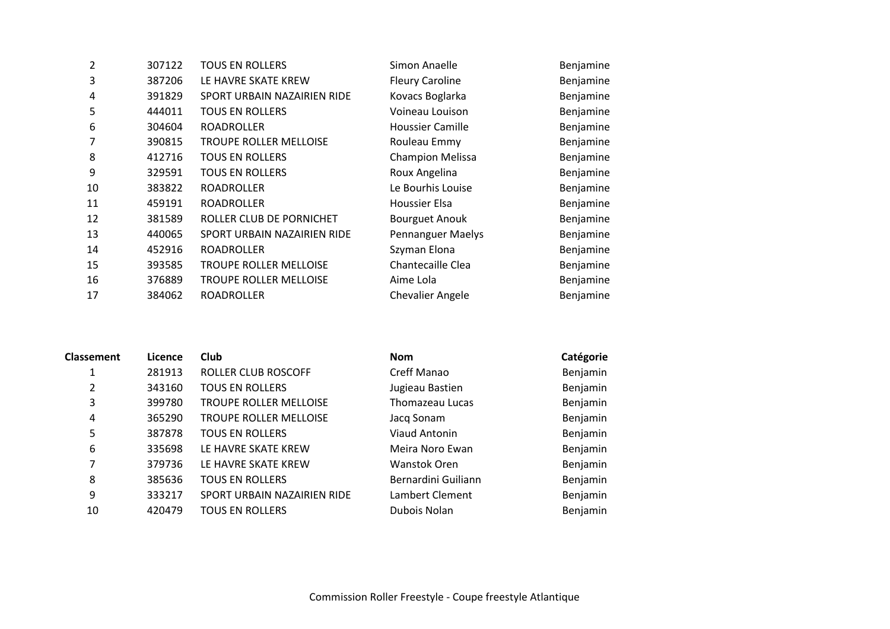| 2  | 307122 | <b>TOUS EN ROLLERS</b>        | Simon Anaelle            | Benjamine |
|----|--------|-------------------------------|--------------------------|-----------|
| 3  | 387206 | LE HAVRE SKATE KREW           | <b>Fleury Caroline</b>   | Benjamine |
| 4  | 391829 | SPORT URBAIN NAZAIRIEN RIDE   | Kovacs Boglarka          | Benjamine |
| 5  | 444011 | <b>TOUS EN ROLLERS</b>        | Voineau Louison          | Benjamine |
| 6  | 304604 | <b>ROADROLLER</b>             | Houssier Camille         | Benjamine |
| 7  | 390815 | TROUPE ROLLER MELLOISE        | Rouleau Emmy             | Benjamine |
| 8  | 412716 | <b>TOUS EN ROLLERS</b>        | <b>Champion Melissa</b>  | Benjamine |
| 9  | 329591 | <b>TOUS EN ROLLERS</b>        | Roux Angelina            | Benjamine |
| 10 | 383822 | <b>ROADROLLER</b>             | Le Bourhis Louise        | Benjamine |
| 11 | 459191 | <b>ROADROLLER</b>             | Houssier Elsa            | Benjamine |
| 12 | 381589 | ROLLER CLUB DE PORNICHET      | <b>Bourguet Anouk</b>    | Benjamine |
| 13 | 440065 | SPORT URBAIN NAZAIRIEN RIDE   | <b>Pennanguer Maelys</b> | Benjamine |
| 14 | 452916 | <b>ROADROLLER</b>             | Szyman Elona             | Benjamine |
| 15 | 393585 | <b>TROUPE ROLLER MELLOISE</b> | Chantecaille Clea        | Benjamine |
| 16 | 376889 | TROUPE ROLLER MELLOISE        | Aime Lola                | Benjamine |
| 17 | 384062 | <b>ROADROLLER</b>             | <b>Chevalier Angele</b>  | Benjamine |
|    |        |                               |                          |           |

| <b>Classement</b> | Licence | <b>Club</b>                   | <b>Nom</b>          | Catégorie |
|-------------------|---------|-------------------------------|---------------------|-----------|
|                   | 281913  | ROLLER CLUB ROSCOFF           | Creff Manao         | Benjamin  |
| 2                 | 343160  | <b>TOUS EN ROLLERS</b>        | Jugieau Bastien     | Benjamin  |
| 3                 | 399780  | <b>TROUPE ROLLER MELLOISE</b> | Thomazeau Lucas     | Benjamin  |
| 4                 | 365290  | <b>TROUPE ROLLER MELLOISE</b> | Jacq Sonam          | Benjamin  |
| 5                 | 387878  | <b>TOUS EN ROLLERS</b>        | Viaud Antonin       | Benjamin  |
| 6                 | 335698  | LE HAVRE SKATE KREW           | Meira Noro Ewan     | Benjamin  |
| 7                 | 379736  | LE HAVRE SKATE KREW           | <b>Wanstok Oren</b> | Benjamin  |
| 8                 | 385636  | <b>TOUS EN ROLLERS</b>        | Bernardini Guiliann | Benjamin  |
| 9                 | 333217  | SPORT URBAIN NAZAIRIEN RIDE   | Lambert Clement     | Benjamin  |
| 10                | 420479  | <b>TOUS EN ROLLERS</b>        | Dubois Nolan        | Benjamin  |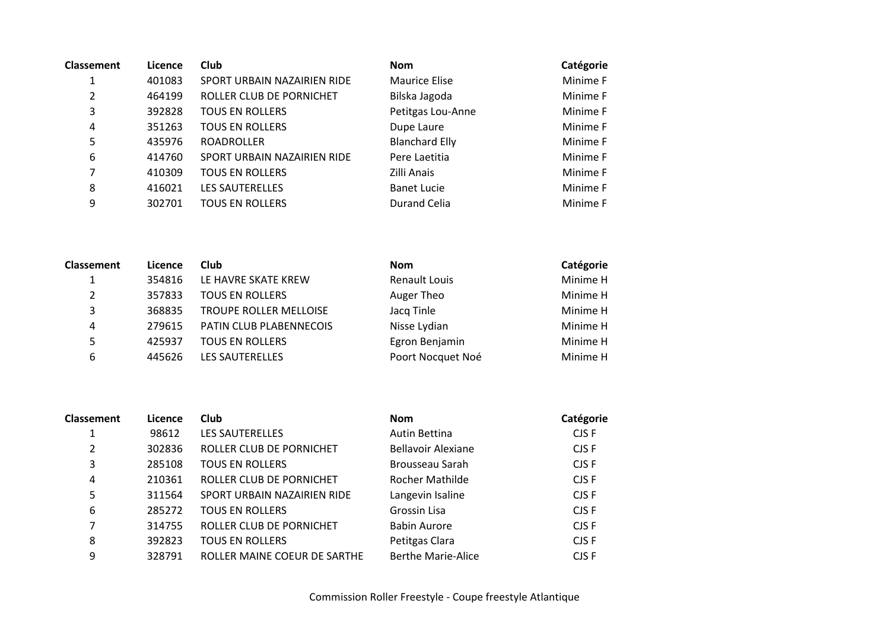| <b>Classement</b> | Licence | <b>Club</b>                 | <b>Nom</b>            | Catégorie |
|-------------------|---------|-----------------------------|-----------------------|-----------|
| 1                 | 401083  | SPORT URBAIN NAZAIRIEN RIDE | <b>Maurice Elise</b>  | Minime F  |
| 2                 | 464199  | ROLLER CLUB DE PORNICHET    | Bilska Jagoda         | Minime F  |
| 3                 | 392828  | <b>TOUS EN ROLLERS</b>      | Petitgas Lou-Anne     | Minime F  |
| 4                 | 351263  | <b>TOUS EN ROLLERS</b>      | Dupe Laure            | Minime F  |
| 5                 | 435976  | <b>ROADROLLER</b>           | <b>Blanchard Elly</b> | Minime F  |
| 6                 | 414760  | SPORT URBAIN NAZAIRIEN RIDE | Pere Laetitia         | Minime F  |
| 7                 | 410309  | <b>TOUS EN ROLLERS</b>      | Zilli Anais           | Minime F  |
| 8                 | 416021  | <b>LES SAUTERELLES</b>      | <b>Banet Lucie</b>    | Minime F  |
| 9                 | 302701  | <b>TOUS EN ROLLERS</b>      | <b>Durand Celia</b>   | Minime F  |

| <b>Classement</b> | Licence | Club                    | <b>Nom</b>           | Catégorie |
|-------------------|---------|-------------------------|----------------------|-----------|
|                   | 354816  | LE HAVRE SKATE KREW     | <b>Renault Louis</b> | Minime H  |
| 2                 | 357833  | <b>TOUS EN ROLLERS</b>  | Auger Theo           | Minime H  |
| 3                 | 368835  | TROUPE ROLLER MELLOISE  | Jacq Tinle           | Minime H  |
| 4                 | 279615  | PATIN CLUB PLABENNECOIS | Nisse Lydian         | Minime H  |
| 5                 | 425937  | <b>TOUS EN ROLLERS</b>  | Egron Benjamin       | Minime H  |
| 6                 | 445626  | LES SAUTERELLES         | Poort Nocquet Noé    | Minime H  |
|                   |         |                         |                      |           |

| <b>Classement</b> | Licence | <b>Club</b>                  | <b>Nom</b>                | Catégorie |
|-------------------|---------|------------------------------|---------------------------|-----------|
|                   | 98612   | LES SAUTERELLES              | Autin Bettina             | CJS F     |
| 2                 | 302836  | ROLLER CLUB DE PORNICHET     | <b>Bellavoir Alexiane</b> | CJS F     |
| 3                 | 285108  | <b>TOUS EN ROLLERS</b>       | Brousseau Sarah           | CJS F     |
| 4                 | 210361  | ROLLER CLUB DE PORNICHET     | Rocher Mathilde           | CJS F     |
| 5                 | 311564  | SPORT URBAIN NAZAIRIEN RIDE  | Langevin Isaline          | CJS F     |
| 6                 | 285272  | <b>TOUS EN ROLLERS</b>       | Grossin Lisa              | CJS F     |
| 7                 | 314755  | ROLLER CLUB DE PORNICHET     | <b>Babin Aurore</b>       | CJS F     |
| 8                 | 392823  | <b>TOUS EN ROLLERS</b>       | Petitgas Clara            | CJS F     |
| 9                 | 328791  | ROLLER MAINE COEUR DE SARTHE | <b>Berthe Marie-Alice</b> | CJS F     |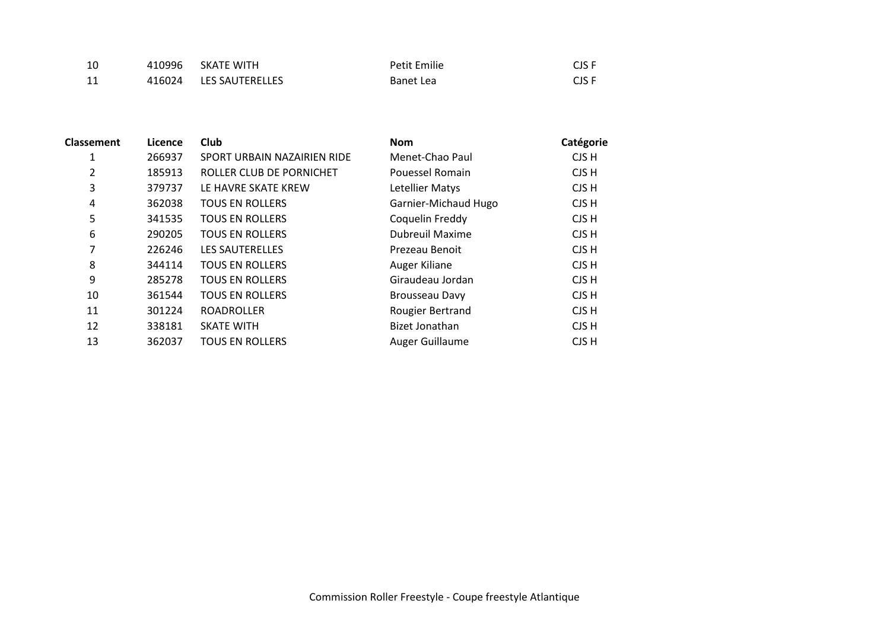| -10 | 410996 SKATE WITH      | Petit Emilie | CJS F |
|-----|------------------------|--------------|-------|
| 11  | 416024 LES SAUTERELLES | Banet Lea    | CJS F |

| <b>Classement</b> | Licence | <b>Club</b>                 | <b>Nom</b>             | Catégorie |
|-------------------|---------|-----------------------------|------------------------|-----------|
| 1                 | 266937  | SPORT URBAIN NAZAIRIEN RIDE | Menet-Chao Paul        | CJS H     |
| 2                 | 185913  | ROLLER CLUB DE PORNICHET    | Pouessel Romain        | CJS H     |
| 3                 | 379737  | LE HAVRE SKATE KREW         | Letellier Matys        | CJS H     |
| 4                 | 362038  | <b>TOUS EN ROLLERS</b>      | Garnier-Michaud Hugo   | CJS H     |
| 5                 | 341535  | <b>TOUS EN ROLLERS</b>      | Coquelin Freddy        | CJS H     |
| 6                 | 290205  | <b>TOUS EN ROLLERS</b>      | <b>Dubreuil Maxime</b> | CJS H     |
| 7                 | 226246  | <b>LES SAUTERELLES</b>      | Prezeau Benoit         | CJS H     |
| 8                 | 344114  | <b>TOUS EN ROLLERS</b>      | Auger Kiliane          | CJS H     |
| 9                 | 285278  | <b>TOUS EN ROLLERS</b>      | Giraudeau Jordan       | CJS H     |
| 10                | 361544  | <b>TOUS EN ROLLERS</b>      | <b>Brousseau Davy</b>  | CJS H     |
| 11                | 301224  | <b>ROADROLLER</b>           | Rougier Bertrand       | CJS H     |
| 12                | 338181  | <b>SKATE WITH</b>           | Bizet Jonathan         | CJS H     |
| 13                | 362037  | <b>TOUS EN ROLLERS</b>      | Auger Guillaume        | CJS H     |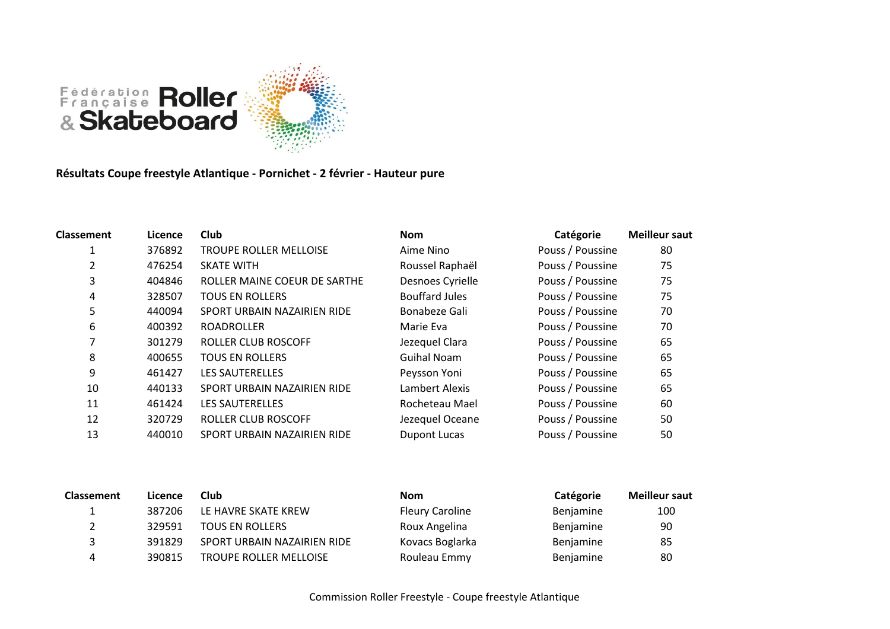

**Résultats Coupe freestyle Atlantique - Pornichet - 2 février - Hauteur pure**

| <b>Classement</b> | Licence | Club                          | <b>Nom</b>            | Catégorie        | <b>Meilleur saut</b> |
|-------------------|---------|-------------------------------|-----------------------|------------------|----------------------|
|                   | 376892  | <b>TROUPE ROLLER MELLOISE</b> | Aime Nino             | Pouss / Poussine | 80                   |
|                   | 476254  | <b>SKATE WITH</b>             | Roussel Raphaël       | Pouss / Poussine | 75                   |
| 3                 | 404846  | ROLLER MAINE COEUR DE SARTHE  | Desnoes Cyrielle      | Pouss / Poussine | 75                   |
| 4                 | 328507  | <b>TOUS EN ROLLERS</b>        | <b>Bouffard Jules</b> | Pouss / Poussine | 75                   |
| 5                 | 440094  | SPORT URBAIN NAZAIRIEN RIDE   | Bonabeze Gali         | Pouss / Poussine | 70                   |
| 6                 | 400392  | <b>ROADROLLER</b>             | Marie Eva             | Pouss / Poussine | 70                   |
| 7                 | 301279  | ROLLER CLUB ROSCOFF           | Jezequel Clara        | Pouss / Poussine | 65                   |
| 8                 | 400655  | <b>TOUS EN ROLLERS</b>        | <b>Guihal Noam</b>    | Pouss / Poussine | 65                   |
| 9                 | 461427  | LES SAUTERELLES               | Peysson Yoni          | Pouss / Poussine | 65                   |
| 10                | 440133  | SPORT URBAIN NAZAIRIEN RIDE   | Lambert Alexis        | Pouss / Poussine | 65                   |
| 11                | 461424  | LES SAUTERELLES               | Rocheteau Mael        | Pouss / Poussine | 60                   |
| 12                | 320729  | ROLLER CLUB ROSCOFF           | Jezequel Oceane       | Pouss / Poussine | 50                   |
| 13                | 440010  | SPORT URBAIN NAZAIRIEN RIDE   | <b>Dupont Lucas</b>   | Pouss / Poussine | 50                   |

| <b>Classement</b> | Licence | Club                        | <b>Nom</b>             | Catégorie | <b>Meilleur saut</b> |
|-------------------|---------|-----------------------------|------------------------|-----------|----------------------|
|                   | 387206  | LE HAVRE SKATE KREW         | <b>Fleury Caroline</b> | Benjamine | 100                  |
|                   | 329591  | <b>TOUS EN ROLLERS</b>      | Roux Angelina          | Benjamine | 90                   |
|                   | 391829  | SPORT URBAIN NAZAIRIEN RIDE | Kovacs Boglarka        | Benjamine | 85                   |
|                   | 390815  | TROUPE ROLLER MELLOISE      | Rouleau Emmy           | Benjamine | 80                   |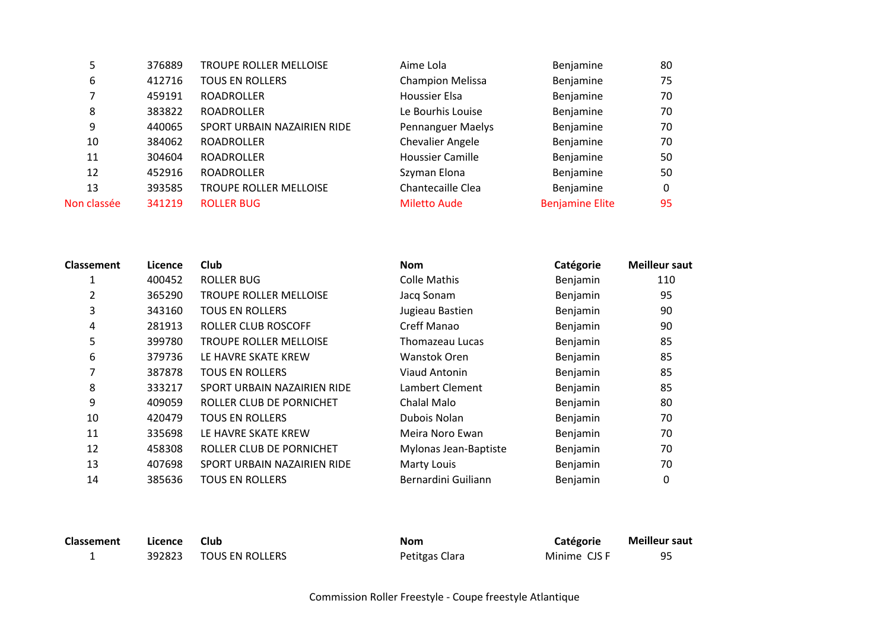| 5           | 376889 | <b>TROUPE ROLLER MELLOISE</b> | Aime Lola                | Benjamine              | 80 |
|-------------|--------|-------------------------------|--------------------------|------------------------|----|
| 6           | 412716 | <b>TOUS EN ROLLERS</b>        | <b>Champion Melissa</b>  | Benjamine              | 75 |
|             | 459191 | <b>ROADROLLER</b>             | Houssier Elsa            | Benjamine              | 70 |
| 8           | 383822 | <b>ROADROLLER</b>             | Le Bourhis Louise        | Benjamine              | 70 |
| 9           | 440065 | SPORT URBAIN NAZAIRIEN RIDE   | <b>Pennanguer Maelys</b> | Benjamine              | 70 |
| 10          | 384062 | <b>ROADROLLER</b>             | <b>Chevalier Angele</b>  | Benjamine              | 70 |
| 11          | 304604 | <b>ROADROLLER</b>             | <b>Houssier Camille</b>  | Benjamine              | 50 |
| 12          | 452916 | <b>ROADROLLER</b>             | Szyman Elona             | Benjamine              | 50 |
| 13          | 393585 | <b>TROUPE ROLLER MELLOISE</b> | Chantecaille Clea        | Benjamine              | 0  |
| Non classée | 341219 | <b>ROLLER BUG</b>             | <b>Miletto Aude</b>      | <b>Benjamine Elite</b> | 95 |

| <b>Classement</b> | Licence | <b>Club</b>                   | <b>Nom</b>            | Catégorie | <b>Meilleur saut</b> |
|-------------------|---------|-------------------------------|-----------------------|-----------|----------------------|
|                   | 400452  | <b>ROLLER BUG</b>             | <b>Colle Mathis</b>   | Benjamin  | 110                  |
| 2                 | 365290  | <b>TROUPE ROLLER MELLOISE</b> | Jacq Sonam            | Benjamin  | 95                   |
| 3                 | 343160  | <b>TOUS EN ROLLERS</b>        | Jugieau Bastien       | Benjamin  | 90                   |
| 4                 | 281913  | ROLLER CLUB ROSCOFF           | Creff Manao           | Benjamin  | 90                   |
| 5                 | 399780  | <b>TROUPE ROLLER MELLOISE</b> | Thomazeau Lucas       | Benjamin  | 85                   |
| 6                 | 379736  | LE HAVRE SKATE KREW           | Wanstok Oren          | Benjamin  | 85                   |
|                   | 387878  | <b>TOUS EN ROLLERS</b>        | Viaud Antonin         | Benjamin  | 85                   |
| 8                 | 333217  | SPORT URBAIN NAZAIRIEN RIDE   | Lambert Clement       | Benjamin  | 85                   |
| 9                 | 409059  | ROLLER CLUB DE PORNICHET      | Chalal Malo           | Benjamin  | 80                   |
| 10                | 420479  | <b>TOUS EN ROLLERS</b>        | Dubois Nolan          | Benjamin  | 70                   |
| 11                | 335698  | LE HAVRE SKATE KREW           | Meira Noro Ewan       | Benjamin  | 70                   |
| 12                | 458308  | ROLLER CLUB DE PORNICHET      | Mylonas Jean-Baptiste | Benjamin  | 70                   |
| 13                | 407698  | SPORT URBAIN NAZAIRIEN RIDE   | Marty Louis           | Benjamin  | 70                   |
| 14                | 385636  | <b>TOUS EN ROLLERS</b>        | Bernardini Guiliann   | Benjamin  | 0                    |

| <b>Classement</b> | Licence Club |                        | <b>Nom</b>     | <b>Catégorie</b> | <b>Meilleur saut</b> |
|-------------------|--------------|------------------------|----------------|------------------|----------------------|
|                   |              | 392823 TOUS EN ROLLERS | Petitgas Clara | Minime CJS F     |                      |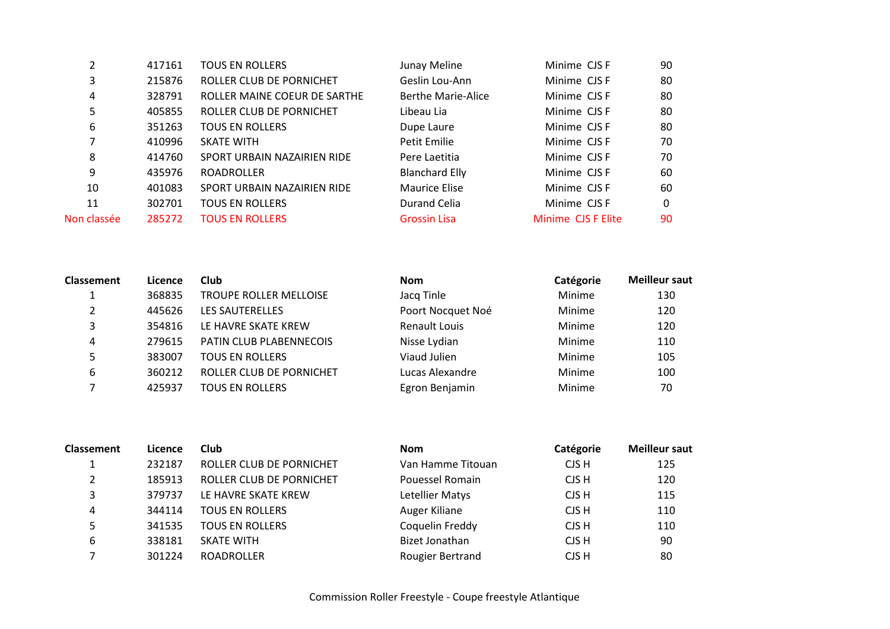|             | 417161 | <b>TOUS EN ROLLERS</b>       | Junay Meline              | Minime CJS F       | 90 |
|-------------|--------|------------------------------|---------------------------|--------------------|----|
| 3           | 215876 | ROLLER CLUB DE PORNICHET     | Geslin Lou-Ann            | Minime CJS F       | 80 |
| 4           | 328791 | ROLLER MAINE COEUR DE SARTHE | <b>Berthe Marie-Alice</b> | Minime CJS F       | 80 |
| 5           | 405855 | ROLLER CLUB DE PORNICHET     | Libeau Lia                | Minime CJS F       | 80 |
| 6           | 351263 | <b>TOUS EN ROLLERS</b>       | Dupe Laure                | Minime CJS F       | 80 |
|             | 410996 | <b>SKATE WITH</b>            | Petit Emilie              | Minime CJS F       | 70 |
| 8           | 414760 | SPORT URBAIN NAZAIRIEN RIDE  | Pere Laetitia             | Minime CJS F       | 70 |
| 9           | 435976 | <b>ROADROLLER</b>            | <b>Blanchard Elly</b>     | Minime CJS F       | 60 |
| 10          | 401083 | SPORT URBAIN NAZAIRIEN RIDE  | <b>Maurice Elise</b>      | Minime CJS F       | 60 |
| 11          | 302701 | <b>TOUS EN ROLLERS</b>       | Durand Celia              | Minime CJS F       | 0  |
| Non classée | 285272 | <b>TOUS EN ROLLERS</b>       | <b>Grossin Lisa</b>       | Minime CJS F Elite | 90 |

| <b>Classement</b> | Licence | Club                          | <b>Nom</b>           | Catégorie | <b>Meilleur saut</b> |
|-------------------|---------|-------------------------------|----------------------|-----------|----------------------|
|                   | 368835  | <b>TROUPE ROLLER MELLOISE</b> | Jacq Tinle           | Minime    | 130                  |
| $\mathcal{L}$     | 445626  | <b>LES SAUTERELLES</b>        | Poort Nocquet Noé    | Minime    | 120                  |
| 3                 | 354816  | LE HAVRE SKATE KREW           | <b>Renault Louis</b> | Minime    | 120                  |
| 4                 | 279615  | PATIN CLUB PLABENNECOIS       | Nisse Lydian         | Minime    | 110                  |
|                   | 383007  | <b>TOUS EN ROLLERS</b>        | Viaud Julien         | Minime    | 105                  |
| 6                 | 360212  | ROLLER CLUB DE PORNICHET      | Lucas Alexandre      | Minime    | 100                  |
|                   | 425937  | <b>TOUS EN ROLLERS</b>        | Egron Benjamin       | Minime    | 70                   |

| <b>Classement</b> | Licence | Club                     | <b>Nom</b>              | Catégorie | <b>Meilleur saut</b> |
|-------------------|---------|--------------------------|-------------------------|-----------|----------------------|
|                   | 232187  | ROLLER CLUB DE PORNICHET | Van Hamme Titouan       | CJS H     | 125                  |
|                   | 185913  | ROLLER CLUB DE PORNICHET | Pouessel Romain         | CJS H     | 120                  |
| 3                 | 379737  | LE HAVRE SKATE KREW      | Letellier Matys         | CJS H     | 115                  |
| 4                 | 344114  | <b>TOUS EN ROLLERS</b>   | Auger Kiliane           | CJS H     | 110                  |
|                   | 341535  | <b>TOUS EN ROLLERS</b>   | Coquelin Freddy         | CJS H     | 110                  |
| 6                 | 338181  | <b>SKATE WITH</b>        | Bizet Jonathan          | CJS H     | 90                   |
|                   | 301224  | <b>ROADROLLER</b>        | <b>Rougier Bertrand</b> | CJS H     | 80                   |
|                   |         |                          |                         |           |                      |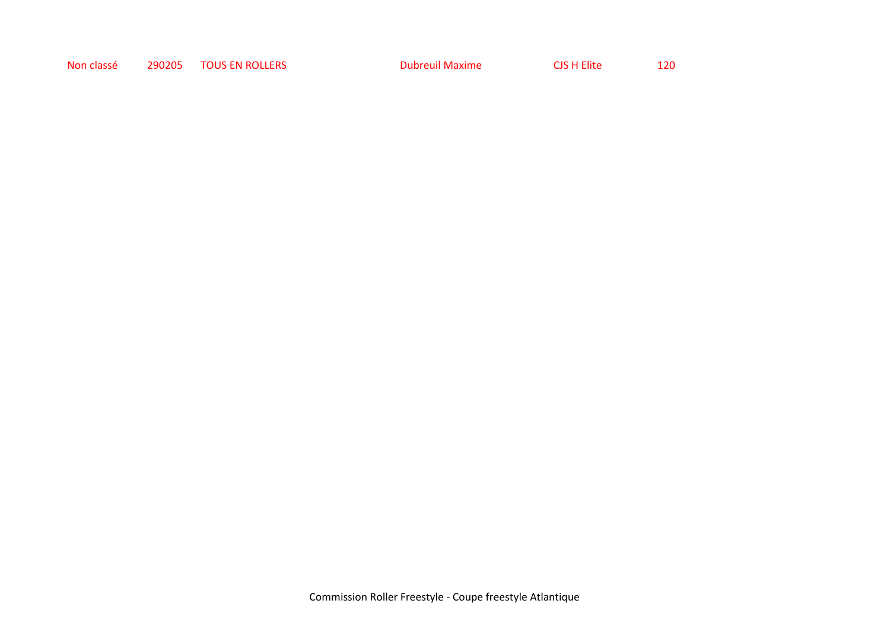Non classé 290205 TOUS EN ROLLERS Dubreuil Maxime CJS H Elite 120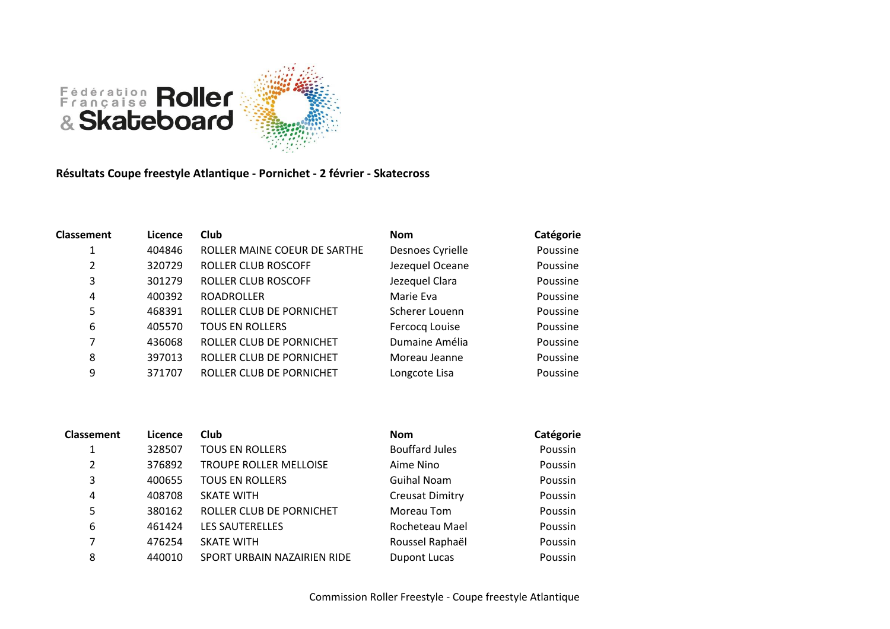

**Résultats Coupe freestyle Atlantique - Pornichet - 2 février - Skatecross**

| <b>Classement</b> | Licence | <b>Club</b>                  | <b>Nom</b>       | Catégorie |
|-------------------|---------|------------------------------|------------------|-----------|
| 1                 | 404846  | ROLLER MAINE COEUR DE SARTHE | Desnoes Cyrielle | Poussine  |
| 2                 | 320729  | ROLLER CLUB ROSCOFF          | Jezequel Oceane  | Poussine  |
| 3                 | 301279  | ROLLER CLUB ROSCOFF          | Jezequel Clara   | Poussine  |
| 4                 | 400392  | <b>ROADROLLER</b>            | Marie Eva        | Poussine  |
| 5                 | 468391  | ROLLER CLUB DE PORNICHET     | Scherer Louenn   | Poussine  |
| 6                 | 405570  | <b>TOUS EN ROLLERS</b>       | Fercocq Louise   | Poussine  |
| 7                 | 436068  | ROLLER CLUB DE PORNICHET     | Dumaine Amélia   | Poussine  |
| 8                 | 397013  | ROLLER CLUB DE PORNICHET     | Moreau Jeanne    | Poussine  |
| 9                 | 371707  | ROLLER CLUB DE PORNICHET     | Longcote Lisa    | Poussine  |

| <b>Classement</b> | Licence | Club                          | <b>Nom</b>             | Catégorie |
|-------------------|---------|-------------------------------|------------------------|-----------|
|                   | 328507  | <b>TOUS EN ROLLERS</b>        | <b>Bouffard Jules</b>  | Poussin   |
| 2                 | 376892  | <b>TROUPE ROLLER MELLOISE</b> | Aime Nino              | Poussin   |
| 3                 | 400655  | <b>TOUS EN ROLLERS</b>        | <b>Guihal Noam</b>     | Poussin   |
| 4                 | 408708  | <b>SKATE WITH</b>             | <b>Creusat Dimitry</b> | Poussin   |
| 5                 | 380162  | ROLLER CLUB DE PORNICHET      | Moreau Tom             | Poussin   |
| 6                 | 461424  | <b>LES SAUTERELLES</b>        | Rocheteau Mael         | Poussin   |
| 7                 | 476254  | <b>SKATE WITH</b>             | Roussel Raphaël        | Poussin   |
| 8                 | 440010  | SPORT URBAIN NAZAIRIEN RIDE   | <b>Dupont Lucas</b>    | Poussin   |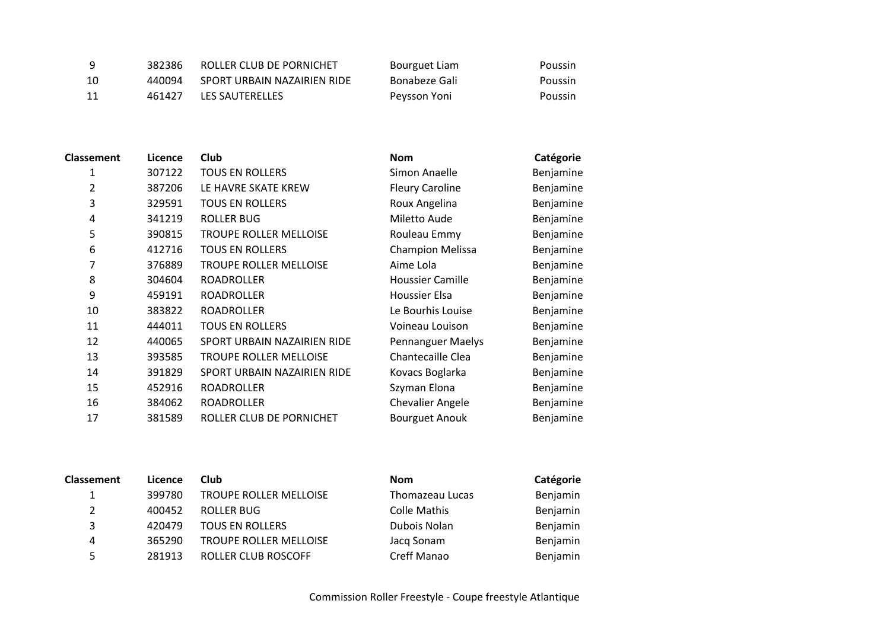| - q | 382386 | ROLLER CLUB DE PORNICHET    | Bourguet Liam | Poussin |
|-----|--------|-----------------------------|---------------|---------|
| -10 | 440094 | SPORT URBAIN NAZAIRIEN RIDE | Bonabeze Gali | Poussin |
| -11 | 461427 | LES SAUTERELLES             | Peysson Yoni  | Poussin |

| <b>Classement</b>       | Licence | <b>Club</b>                   | <b>Nom</b>               | Catégorie |
|-------------------------|---------|-------------------------------|--------------------------|-----------|
| 1                       | 307122  | <b>TOUS EN ROLLERS</b>        | Simon Anaelle            | Benjamine |
| 2                       | 387206  | LE HAVRE SKATE KREW           | <b>Fleury Caroline</b>   | Benjamine |
| 3                       | 329591  | <b>TOUS EN ROLLERS</b>        | Roux Angelina            | Benjamine |
| $\overline{\mathbf{4}}$ | 341219  | <b>ROLLER BUG</b>             | Miletto Aude             | Benjamine |
| 5                       | 390815  | <b>TROUPE ROLLER MELLOISE</b> | Rouleau Emmy             | Benjamine |
| 6                       | 412716  | <b>TOUS EN ROLLERS</b>        | <b>Champion Melissa</b>  | Benjamine |
| 7                       | 376889  | TROUPE ROLLER MELLOISE        | Aime Lola                | Benjamine |
| 8                       | 304604  | <b>ROADROLLER</b>             | <b>Houssier Camille</b>  | Benjamine |
| 9                       | 459191  | <b>ROADROLLER</b>             | Houssier Elsa            | Benjamine |
| 10                      | 383822  | <b>ROADROLLER</b>             | Le Bourhis Louise        | Benjamine |
| 11                      | 444011  | <b>TOUS EN ROLLERS</b>        | Voineau Louison          | Benjamine |
| 12                      | 440065  | SPORT URBAIN NAZAIRIEN RIDE   | <b>Pennanguer Maelys</b> | Benjamine |
| 13                      | 393585  | TROUPE ROLLER MELLOISE        | <b>Chantecaille Clea</b> | Benjamine |
| 14                      | 391829  | SPORT URBAIN NAZAIRIEN RIDE   | Kovacs Boglarka          | Benjamine |
| 15                      | 452916  | <b>ROADROLLER</b>             | Szyman Elona             | Benjamine |
| 16                      | 384062  | <b>ROADROLLER</b>             | <b>Chevalier Angele</b>  | Benjamine |
| 17                      | 381589  | ROLLER CLUB DE PORNICHET      | <b>Bourguet Anouk</b>    | Benjamine |
|                         |         |                               |                          |           |

| <b>Classement</b> | Licence | <b>Club</b>                   | <b>Nom</b>      | Catégorie |
|-------------------|---------|-------------------------------|-----------------|-----------|
|                   | 399780  | <b>TROUPE ROLLER MELLOISE</b> | Thomazeau Lucas | Benjamin  |
| 2                 | 400452  | ROLLER BUG                    | Colle Mathis    | Benjamin  |
| 3                 | 420479  | <b>TOUS EN ROLLERS</b>        | Dubois Nolan    | Benjamin  |
| 4                 | 365290  | <b>TROUPE ROLLER MELLOISE</b> | Jacq Sonam      | Benjamin  |
| 5.                | 281913  | ROLLER CLUB ROSCOFF           | Creff Manao     | Benjamin  |
|                   |         |                               |                 |           |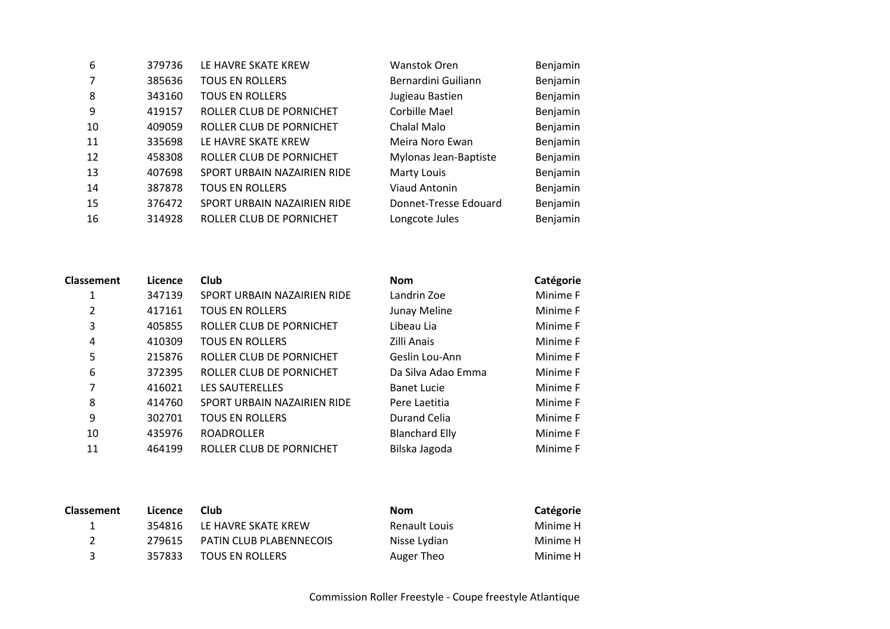| 6  | 379736 | LE HAVRE SKATE KREW         | Wanstok Oren          | Benjamin |
|----|--------|-----------------------------|-----------------------|----------|
| 7  | 385636 | <b>TOUS EN ROLLERS</b>      | Bernardini Guiliann   | Benjamin |
| 8  | 343160 | <b>TOUS EN ROLLERS</b>      | Jugieau Bastien       | Benjamin |
| 9  | 419157 | ROLLER CLUB DE PORNICHET    | Corbille Mael         | Benjamin |
| 10 | 409059 | ROLLER CLUB DE PORNICHET    | Chalal Malo           | Benjamin |
| 11 | 335698 | LE HAVRE SKATE KREW         | Meira Noro Ewan       | Benjamin |
| 12 | 458308 | ROLLER CLUB DE PORNICHET    | Mylonas Jean-Baptiste | Benjamin |
| 13 | 407698 | SPORT URBAIN NAZAIRIEN RIDE | Marty Louis           | Benjamin |
| 14 | 387878 | <b>TOUS EN ROLLERS</b>      | Viaud Antonin         | Benjamin |
| 15 | 376472 | SPORT URBAIN NAZAIRIEN RIDE | Donnet-Tresse Edouard | Benjamin |
| 16 | 314928 | ROLLER CLUB DE PORNICHET    | Longcote Jules        | Benjamin |

| <b>Classement</b> | Licence | Club                        | <b>Nom</b>            | Catégorie |
|-------------------|---------|-----------------------------|-----------------------|-----------|
| 1                 | 347139  | SPORT URBAIN NAZAIRIEN RIDE | Landrin Zoe           | Minime F  |
| 2                 | 417161  | <b>TOUS EN ROLLERS</b>      | Junay Meline          | Minime F  |
| 3                 | 405855  | ROLLER CLUB DE PORNICHET    | Libeau Lia            | Minime F  |
| 4                 | 410309  | <b>TOUS EN ROLLERS</b>      | Zilli Anais           | Minime F  |
| 5                 | 215876  | ROLLER CLUB DE PORNICHET    | Geslin Lou-Ann        | Minime F  |
| 6                 | 372395  | ROLLER CLUB DE PORNICHET    | Da Silva Adao Emma    | Minime F  |
| 7                 | 416021  | LES SAUTERELLES             | <b>Banet Lucie</b>    | Minime F  |
| 8                 | 414760  | SPORT URBAIN NAZAIRIEN RIDE | Pere Laetitia         | Minime F  |
| 9                 | 302701  | <b>TOUS EN ROLLERS</b>      | Durand Celia          | Minime F  |
| 10                | 435976  | <b>ROADROLLER</b>           | <b>Blanchard Elly</b> | Minime F  |
| 11                | 464199  | ROLLER CLUB DE PORNICHET    | Bilska Jagoda         | Minime F  |

| <b>Classement</b> | Licence | Club                    | <b>Nom</b>    | Catégorie |
|-------------------|---------|-------------------------|---------------|-----------|
|                   | 354816  | LE HAVRE SKATE KREW     | Renault Louis | Minime H  |
| $\mathcal{P}$     | 279615  | PATIN CLUB PLABENNECOIS | Nisse Lydian  | Minime H  |
| 3                 | 357833  | <b>TOUS EN ROLLERS</b>  | Auger Theo    | Minime H  |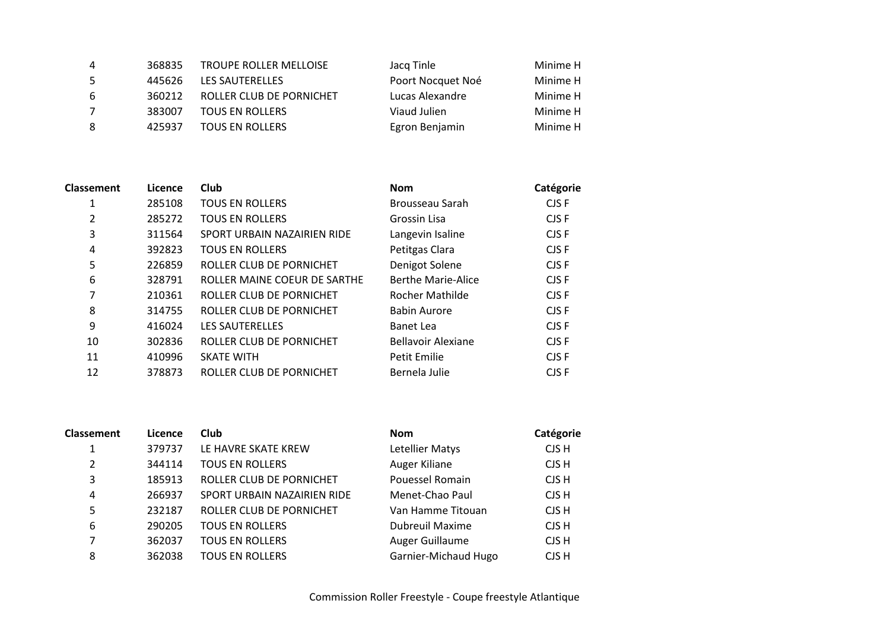| 4  | 368835 | <b>TROUPE ROLLER MELLOISE</b> | Jacq Tinle        | Minime H |
|----|--------|-------------------------------|-------------------|----------|
| -5 | 445626 | <b>LES SAUTERELLES</b>        | Poort Nocquet Noé | Minime H |
| -6 | 360212 | ROLLER CLUB DE PORNICHET      | Lucas Alexandre   | Minime H |
| 7  | 383007 | <b>TOUS EN ROLLERS</b>        | Viaud Julien      | Minime H |
| 8  | 425937 | <b>TOUS EN ROLLERS</b>        | Egron Benjamin    | Minime H |

| <b>Classement</b> | Licence | Club                         | <b>Nom</b>                | Catégorie |
|-------------------|---------|------------------------------|---------------------------|-----------|
| 1                 | 285108  | <b>TOUS EN ROLLERS</b>       | Brousseau Sarah           | CJS F     |
| 2                 | 285272  | <b>TOUS EN ROLLERS</b>       | Grossin Lisa              | CJS F     |
| 3                 | 311564  | SPORT URBAIN NAZAIRIEN RIDE  | Langevin Isaline          | CJS F     |
| 4                 | 392823  | <b>TOUS EN ROLLERS</b>       | Petitgas Clara            | CJS F     |
| 5                 | 226859  | ROLLER CLUB DE PORNICHET     | Denigot Solene            | CJS F     |
| 6                 | 328791  | ROLLER MAINE COEUR DE SARTHE | <b>Berthe Marie-Alice</b> | CJS F     |
| 7                 | 210361  | ROLLER CLUB DE PORNICHET     | Rocher Mathilde           | CJS F     |
| 8                 | 314755  | ROLLER CLUB DE PORNICHET     | <b>Babin Aurore</b>       | CJS F     |
| 9                 | 416024  | LES SAUTERELLES              | Banet Lea                 | CJS F     |
| 10                | 302836  | ROLLER CLUB DE PORNICHET     | <b>Bellavoir Alexiane</b> | CJS F     |
| 11                | 410996  | <b>SKATE WITH</b>            | <b>Petit Emilie</b>       | CJS F     |
| 12                | 378873  | ROLLER CLUB DE PORNICHET     | Bernela Julie             | CJS F     |

| <b>Classement</b> | Licence | <b>Club</b>                 | <b>Nom</b>             | Catégorie |
|-------------------|---------|-----------------------------|------------------------|-----------|
|                   | 379737  | LE HAVRE SKATE KREW         | Letellier Matys        | CJS H     |
| 2                 | 344114  | <b>TOUS EN ROLLERS</b>      | Auger Kiliane          | CJS H     |
| 3                 | 185913  | ROLLER CLUB DE PORNICHET    | Pouessel Romain        | CJS H     |
| 4                 | 266937  | SPORT URBAIN NAZAIRIEN RIDE | Menet-Chao Paul        | CJS H     |
| 5                 | 232187  | ROLLER CLUB DE PORNICHET    | Van Hamme Titouan      | CJS H     |
| 6                 | 290205  | <b>TOUS EN ROLLERS</b>      | <b>Dubreuil Maxime</b> | CJS H     |
| 7                 | 362037  | <b>TOUS EN ROLLERS</b>      | Auger Guillaume        | CJS H     |
| 8                 | 362038  | <b>TOUS EN ROLLERS</b>      | Garnier-Michaud Hugo   | CJS H     |